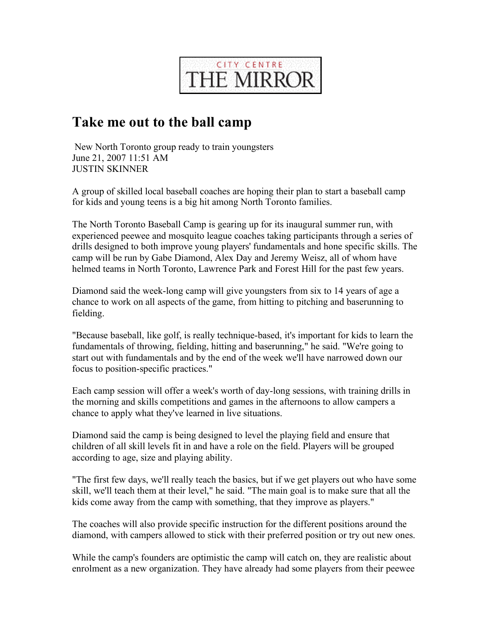

## **Take me out to the ball camp**

New North Toronto group ready to train youngsters June 21, 2007 11:51 AM JUSTIN SKINNER

A group of skilled local baseball coaches are hoping their plan to start a baseball camp for kids and young teens is a big hit among North Toronto families.

The North Toronto Baseball Camp is gearing up for its inaugural summer run, with experienced peewee and mosquito league coaches taking participants through a series of drills designed to both improve young players' fundamentals and hone specific skills. The camp will be run by Gabe Diamond, Alex Day and Jeremy Weisz, all of whom have helmed teams in North Toronto, Lawrence Park and Forest Hill for the past few years.

Diamond said the week-long camp will give youngsters from six to 14 years of age a chance to work on all aspects of the game, from hitting to pitching and baserunning to fielding.

"Because baseball, like golf, is really technique-based, it's important for kids to learn the fundamentals of throwing, fielding, hitting and baserunning," he said. "We're going to start out with fundamentals and by the end of the week we'll have narrowed down our focus to position-specific practices."

Each camp session will offer a week's worth of day-long sessions, with training drills in the morning and skills competitions and games in the afternoons to allow campers a chance to apply what they've learned in live situations.

Diamond said the camp is being designed to level the playing field and ensure that children of all skill levels fit in and have a role on the field. Players will be grouped according to age, size and playing ability.

"The first few days, we'll really teach the basics, but if we get players out who have some skill, we'll teach them at their level," he said. "The main goal is to make sure that all the kids come away from the camp with something, that they improve as players."

The coaches will also provide specific instruction for the different positions around the diamond, with campers allowed to stick with their preferred position or try out new ones.

While the camp's founders are optimistic the camp will catch on, they are realistic about enrolment as a new organization. They have already had some players from their peewee